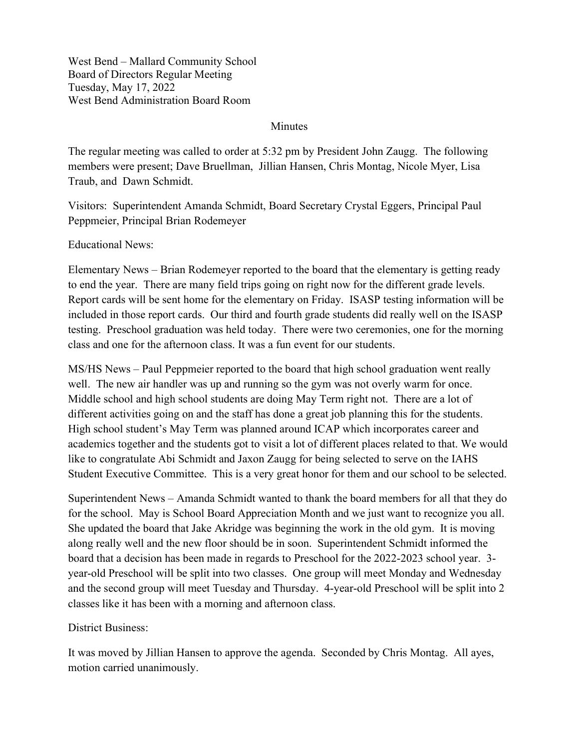West Bend – Mallard Community School Board of Directors Regular Meeting Tuesday, May 17, 2022 West Bend Administration Board Room

## Minutes

The regular meeting was called to order at 5:32 pm by President John Zaugg. The following members were present; Dave Bruellman, Jillian Hansen, Chris Montag, Nicole Myer, Lisa Traub, and Dawn Schmidt.

Visitors: Superintendent Amanda Schmidt, Board Secretary Crystal Eggers, Principal Paul Peppmeier, Principal Brian Rodemeyer

Educational News:

Elementary News – Brian Rodemeyer reported to the board that the elementary is getting ready to end the year. There are many field trips going on right now for the different grade levels. Report cards will be sent home for the elementary on Friday. ISASP testing information will be included in those report cards. Our third and fourth grade students did really well on the ISASP testing. Preschool graduation was held today. There were two ceremonies, one for the morning class and one for the afternoon class. It was a fun event for our students.

MS/HS News – Paul Peppmeier reported to the board that high school graduation went really well. The new air handler was up and running so the gym was not overly warm for once. Middle school and high school students are doing May Term right not. There are a lot of different activities going on and the staff has done a great job planning this for the students. High school student's May Term was planned around ICAP which incorporates career and academics together and the students got to visit a lot of different places related to that. We would like to congratulate Abi Schmidt and Jaxon Zaugg for being selected to serve on the IAHS Student Executive Committee. This is a very great honor for them and our school to be selected.

Superintendent News – Amanda Schmidt wanted to thank the board members for all that they do for the school. May is School Board Appreciation Month and we just want to recognize you all. She updated the board that Jake Akridge was beginning the work in the old gym. It is moving along really well and the new floor should be in soon. Superintendent Schmidt informed the board that a decision has been made in regards to Preschool for the 2022-2023 school year. 3 year-old Preschool will be split into two classes. One group will meet Monday and Wednesday and the second group will meet Tuesday and Thursday. 4-year-old Preschool will be split into 2 classes like it has been with a morning and afternoon class.

District Business:

It was moved by Jillian Hansen to approve the agenda. Seconded by Chris Montag. All ayes, motion carried unanimously.